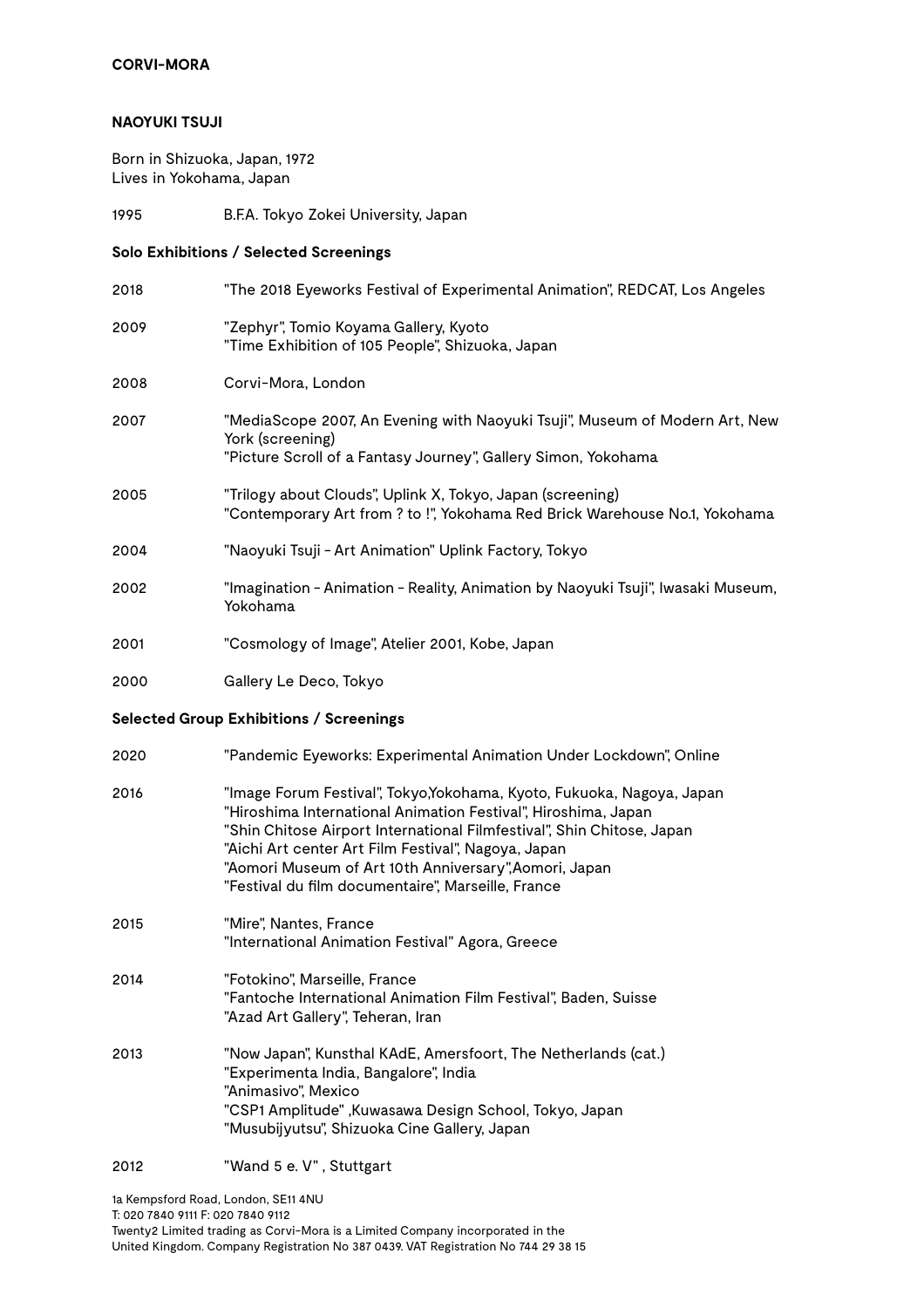## **NAOYUKI TSUJI**

Born in Shizuoka, Japan, 1972 Lives in Yokohama, Japan

1995 B.F.A. Tokyo Zokei University, Japan

**Solo Exhibitions / Selected Screenings**

| "The 2018 Eyeworks Festival of Experimental Animation", REDCAT, Los Angeles                                                                                                                                                                                                                                                                                                              |  |  |  |
|------------------------------------------------------------------------------------------------------------------------------------------------------------------------------------------------------------------------------------------------------------------------------------------------------------------------------------------------------------------------------------------|--|--|--|
| "Zephyr", Tomio Koyama Gallery, Kyoto<br>"Time Exhibition of 105 People", Shizuoka, Japan                                                                                                                                                                                                                                                                                                |  |  |  |
| Corvi-Mora, London                                                                                                                                                                                                                                                                                                                                                                       |  |  |  |
| "MediaScope 2007, An Evening with Naoyuki Tsuji", Museum of Modern Art, New<br>York (screening)<br>"Picture Scroll of a Fantasy Journey", Gallery Simon, Yokohama                                                                                                                                                                                                                        |  |  |  |
| "Trilogy about Clouds", Uplink X, Tokyo, Japan (screening)<br>"Contemporary Art from ? to !", Yokohama Red Brick Warehouse No.1, Yokohama                                                                                                                                                                                                                                                |  |  |  |
| "Naoyuki Tsuji - Art Animation" Uplink Factory, Tokyo                                                                                                                                                                                                                                                                                                                                    |  |  |  |
| "Imagination - Animation - Reality, Animation by Naoyuki Tsuji", Iwasaki Museum,<br>Yokohama                                                                                                                                                                                                                                                                                             |  |  |  |
| "Cosmology of Image", Atelier 2001, Kobe, Japan                                                                                                                                                                                                                                                                                                                                          |  |  |  |
| Gallery Le Deco, Tokyo                                                                                                                                                                                                                                                                                                                                                                   |  |  |  |
| <b>Selected Group Exhibitions / Screenings</b>                                                                                                                                                                                                                                                                                                                                           |  |  |  |
| "Pandemic Eyeworks: Experimental Animation Under Lockdown", Online                                                                                                                                                                                                                                                                                                                       |  |  |  |
| "Image Forum Festival", Tokyo,Yokohama, Kyoto, Fukuoka, Nagoya, Japan<br>"Hiroshima International Animation Festival", Hiroshima, Japan<br>"Shin Chitose Airport International Filmfestival", Shin Chitose, Japan<br>"Aichi Art center Art Film Festival", Nagoya, Japan<br>"Aomori Museum of Art 10th Anniversary", Aomori, Japan<br>"Festival du film documentaire", Marseille, France |  |  |  |
| "Mire", Nantes, France<br>"International Animation Festival" Agora, Greece                                                                                                                                                                                                                                                                                                               |  |  |  |
| "Fotokino", Marseille, France<br>"Fantoche International Animation Film Festival", Baden, Suisse<br>"Azad Art Gallery", Teheran, Iran                                                                                                                                                                                                                                                    |  |  |  |
| "Now Japan", Kunsthal KAdE, Amersfoort, The Netherlands (cat.)<br>"Experimenta India, Bangalore", India<br>"Animasivo", Mexico<br>"CSP1 Amplitude", Kuwasawa Design School, Tokyo, Japan<br>"Musubijyutsu", Shizuoka Cine Gallery, Japan                                                                                                                                                 |  |  |  |
|                                                                                                                                                                                                                                                                                                                                                                                          |  |  |  |

## 2012 "Wand 5 e. V" , Stuttgart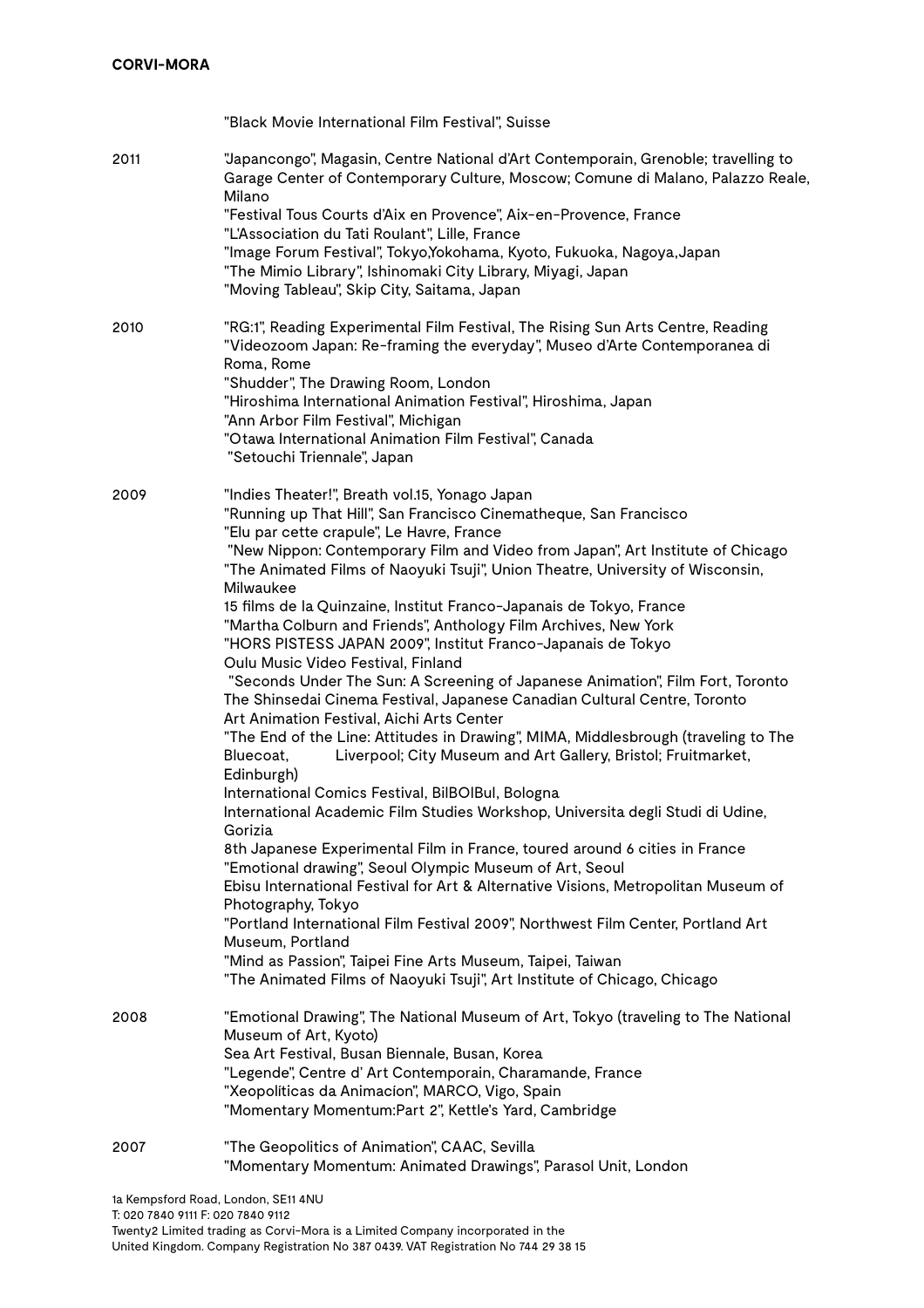|      | "Black Movie International Film Festival", Suisse                                                                                                                                                                                                                                                                                                                                                                                                                                                                                                                                                                                                                                                                                                                                                                                                                                                                                                                                                                                                                                                                                                                                                                                                                                                                                                                                                                                                                                                                                                                                                                                                        |
|------|----------------------------------------------------------------------------------------------------------------------------------------------------------------------------------------------------------------------------------------------------------------------------------------------------------------------------------------------------------------------------------------------------------------------------------------------------------------------------------------------------------------------------------------------------------------------------------------------------------------------------------------------------------------------------------------------------------------------------------------------------------------------------------------------------------------------------------------------------------------------------------------------------------------------------------------------------------------------------------------------------------------------------------------------------------------------------------------------------------------------------------------------------------------------------------------------------------------------------------------------------------------------------------------------------------------------------------------------------------------------------------------------------------------------------------------------------------------------------------------------------------------------------------------------------------------------------------------------------------------------------------------------------------|
| 2011 | "Japancongo", Magasin, Centre National d'Art Contemporain, Grenoble; travelling to<br>Garage Center of Contemporary Culture, Moscow; Comune di Malano, Palazzo Reale,<br>Milano<br>"Festival Tous Courts d'Aix en Provence", Aix-en-Provence, France<br>"L'Association du Tati Roulant", Lille, France<br>"Image Forum Festival", Tokyo,Yokohama, Kyoto, Fukuoka, Nagoya,Japan<br>"The Mimio Library", Ishinomaki City Library, Miyagi, Japan<br>"Moving Tableau", Skip City, Saitama, Japan                                                                                                                                                                                                                                                                                                                                                                                                                                                                                                                                                                                                                                                                                                                                                                                                                                                                                                                                                                                                                                                                                                                                                             |
| 2010 | "RG:1", Reading Experimental Film Festival, The Rising Sun Arts Centre, Reading<br>"Videozoom Japan: Re-framing the everyday", Museo d'Arte Contemporanea di<br>Roma, Rome<br>"Shudder", The Drawing Room, London<br>"Hiroshima International Animation Festival", Hiroshima, Japan<br>"Ann Arbor Film Festival", Michigan<br>"Otawa International Animation Film Festival", Canada<br>"Setouchi Triennale", Japan                                                                                                                                                                                                                                                                                                                                                                                                                                                                                                                                                                                                                                                                                                                                                                                                                                                                                                                                                                                                                                                                                                                                                                                                                                       |
| 2009 | "Indies Theater!", Breath vol.15, Yonago Japan<br>"Running up That Hill", San Francisco Cinematheque, San Francisco<br>"Elu par cette crapule", Le Havre, France<br>"New Nippon: Contemporary Film and Video from Japan", Art Institute of Chicago<br>"The Animated Films of Naoyuki Tsuji", Union Theatre, University of Wisconsin,<br>Milwaukee<br>15 films de la Quinzaine, Institut Franco-Japanais de Tokyo, France<br>"Martha Colburn and Friends", Anthology Film Archives, New York<br>"HORS PISTESS JAPAN 2009", Institut Franco-Japanais de Tokyo<br>Oulu Music Video Festival, Finland<br>"Seconds Under The Sun: A Screening of Japanese Animation", Film Fort, Toronto<br>The Shinsedai Cinema Festival, Japanese Canadian Cultural Centre, Toronto<br>Art Animation Festival, Aichi Arts Center<br>"The End of the Line: Attitudes in Drawing", MIMA, Middlesbrough (traveling to The<br>Liverpool; City Museum and Art Gallery, Bristol; Fruitmarket,<br>Bluecoat,<br>Edinburgh)<br>International Comics Festival, BilBOIBul, Bologna<br>International Academic Film Studies Workshop, Universita degli Studi di Udine,<br>Gorizia<br>8th Japanese Experimental Film in France, toured around 6 cities in France<br>"Emotional drawing", Seoul Olympic Museum of Art, Seoul<br>Ebisu International Festival for Art & Alternative Visions, Metropolitan Museum of<br>Photography, Tokyo<br>"Portland International Film Festival 2009", Northwest Film Center, Portland Art<br>Museum, Portland<br>"Mind as Passion", Taipei Fine Arts Museum, Taipei, Taiwan<br>"The Animated Films of Naoyuki Tsuji", Art Institute of Chicago, Chicago |
| 2008 | "Emotional Drawing", The National Museum of Art, Tokyo (traveling to The National<br>Museum of Art, Kyoto)<br>Sea Art Festival, Busan Biennale, Busan, Korea<br>"Legende", Centre d' Art Contemporain, Charamande, France<br>"Xeopolíticas da Animacíon", MARCO, Vigo, Spain<br>"Momentary Momentum:Part 2", Kettle's Yard, Cambridge                                                                                                                                                                                                                                                                                                                                                                                                                                                                                                                                                                                                                                                                                                                                                                                                                                                                                                                                                                                                                                                                                                                                                                                                                                                                                                                    |
| 2007 | "The Geopolitics of Animation", CAAC, Sevilla<br>"Momentary Momentum: Animated Drawings", Parasol Unit, London                                                                                                                                                                                                                                                                                                                                                                                                                                                                                                                                                                                                                                                                                                                                                                                                                                                                                                                                                                                                                                                                                                                                                                                                                                                                                                                                                                                                                                                                                                                                           |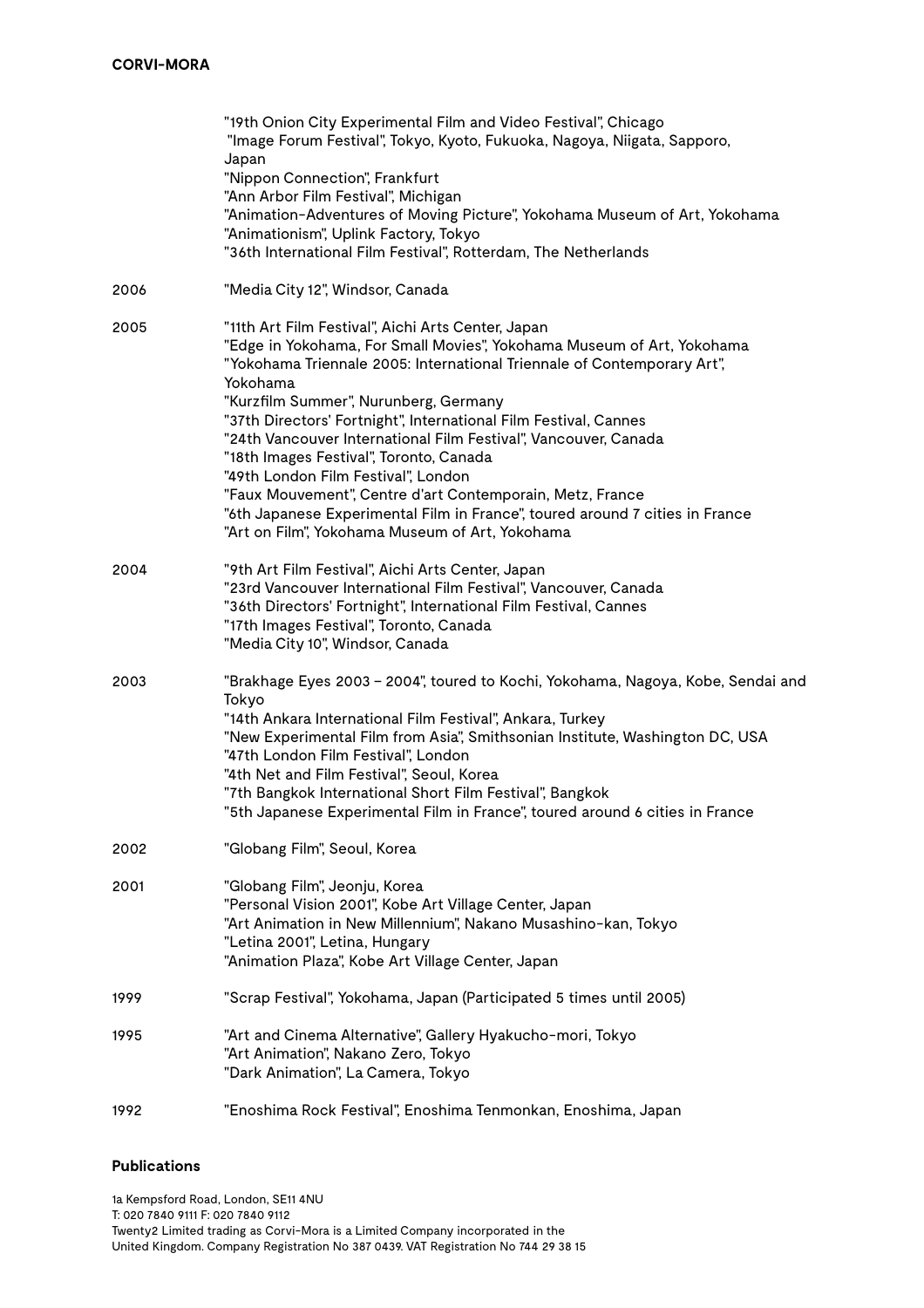|      | "19th Onion City Experimental Film and Video Festival", Chicago<br>"Image Forum Festival", Tokyo, Kyoto, Fukuoka, Nagoya, Niigata, Sapporo,<br>Japan<br>"Nippon Connection", Frankfurt<br>"Ann Arbor Film Festival", Michigan<br>"Animation-Adventures of Moving Picture", Yokohama Museum of Art, Yokohama<br>"Animationism", Uplink Factory, Tokyo<br>"36th International Film Festival", Rotterdam, The Netherlands                                                                                                                                                                                                                                                                |
|------|---------------------------------------------------------------------------------------------------------------------------------------------------------------------------------------------------------------------------------------------------------------------------------------------------------------------------------------------------------------------------------------------------------------------------------------------------------------------------------------------------------------------------------------------------------------------------------------------------------------------------------------------------------------------------------------|
| 2006 | "Media City 12", Windsor, Canada                                                                                                                                                                                                                                                                                                                                                                                                                                                                                                                                                                                                                                                      |
| 2005 | "11th Art Film Festival", Aichi Arts Center, Japan<br>"Edge in Yokohama, For Small Movies", Yokohama Museum of Art, Yokohama<br>"Yokohama Triennale 2005: International Triennale of Contemporary Art",<br>Yokohama<br>"Kurzfilm Summer", Nurunberg, Germany<br>"37th Directors' Fortnight", International Film Festival, Cannes<br>"24th Vancouver International Film Festival", Vancouver, Canada<br>"18th Images Festival", Toronto, Canada<br>"49th London Film Festival", London<br>"Faux Mouvement", Centre d'art Contemporain, Metz, France<br>"6th Japanese Experimental Film in France", toured around 7 cities in France<br>"Art on Film", Yokohama Museum of Art, Yokohama |
| 2004 | "9th Art Film Festival", Aichi Arts Center, Japan<br>"23rd Vancouver International Film Festival", Vancouver, Canada<br>"36th Directors' Fortnight", International Film Festival, Cannes<br>"17th Images Festival", Toronto, Canada<br>"Media City 10", Windsor, Canada                                                                                                                                                                                                                                                                                                                                                                                                               |
| 2003 | "Brakhage Eyes 2003 - 2004", toured to Kochi, Yokohama, Nagoya, Kobe, Sendai and<br>Tokyo<br>"14th Ankara International Film Festival", Ankara, Turkey<br>"New Experimental Film from Asia", Smithsonian Institute, Washington DC, USA<br>"47th London Film Festival", London<br>"4th Net and Film Festival", Seoul, Korea<br>"7th Bangkok International Short Film Festival", Bangkok<br>'5th Japanese Experimental Film in France", toured around 6 cities in France                                                                                                                                                                                                                |
| 2002 | "Globang Film", Seoul, Korea                                                                                                                                                                                                                                                                                                                                                                                                                                                                                                                                                                                                                                                          |
| 2001 | "Globang Film", Jeonju, Korea<br>"Personal Vision 2001", Kobe Art Village Center, Japan<br>"Art Animation in New Millennium", Nakano Musashino-kan, Tokyo<br>"Letina 2001", Letina, Hungary<br>"Animation Plaza", Kobe Art Village Center, Japan                                                                                                                                                                                                                                                                                                                                                                                                                                      |
| 1999 | "Scrap Festival", Yokohama, Japan (Participated 5 times until 2005)                                                                                                                                                                                                                                                                                                                                                                                                                                                                                                                                                                                                                   |
| 1995 | "Art and Cinema Alternative", Gallery Hyakucho-mori, Tokyo<br>"Art Animation", Nakano Zero, Tokyo<br>"Dark Animation", La Camera, Tokyo                                                                                                                                                                                                                                                                                                                                                                                                                                                                                                                                               |
| 1992 | "Enoshima Rock Festival", Enoshima Tenmonkan, Enoshima, Japan                                                                                                                                                                                                                                                                                                                                                                                                                                                                                                                                                                                                                         |

## **Publications**